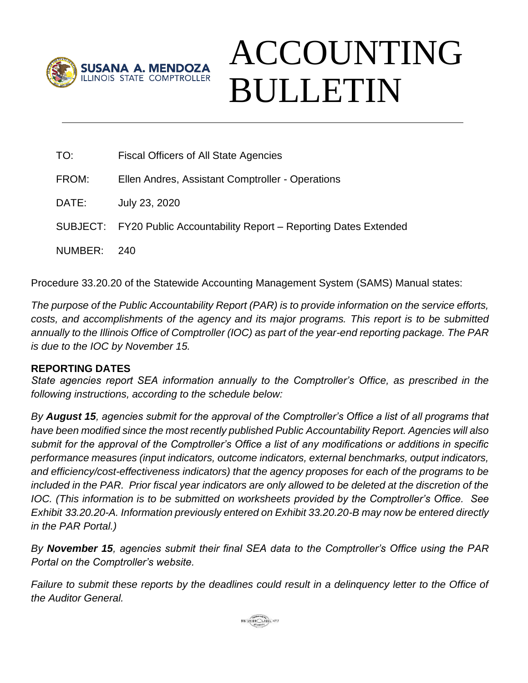

## ACCOUNTING BULLETIN

| TO:     | <b>Fiscal Officers of All State Agencies</b>                          |
|---------|-----------------------------------------------------------------------|
| FROM:   | Ellen Andres, Assistant Comptroller - Operations                      |
| DATE:   | July 23, 2020                                                         |
|         | SUBJECT: FY20 Public Accountability Report – Reporting Dates Extended |
| NUMBER: | - 240                                                                 |

Procedure 33.20.20 of the Statewide Accounting Management System (SAMS) Manual states:

*The purpose of the Public Accountability Report (PAR) is to provide information on the service efforts, costs, and accomplishments of the agency and its major programs. This report is to be submitted annually to the Illinois Office of Comptroller (IOC) as part of the year-end reporting package. The PAR is due to the IOC by November 15.*

## **REPORTING DATES**

*State agencies report SEA information annually to the Comptroller's Office, as prescribed in the following instructions, according to the schedule below:*

*By August 15, agencies submit for the approval of the Comptroller's Office a list of all programs that have been modified since the most recently published Public Accountability Report. Agencies will also submit for the approval of the Comptroller's Office a list of any modifications or additions in specific performance measures (input indicators, outcome indicators, external benchmarks, output indicators, and efficiency/cost-effectiveness indicators) that the agency proposes for each of the programs to be included in the PAR. Prior fiscal year indicators are only allowed to be deleted at the discretion of the IOC. (This information is to be submitted on worksheets provided by the Comptroller's Office. See Exhibit 33.20.20-A. Information previously entered on Exhibit 33.20.20-B may now be entered directly in the PAR Portal.)*

*By November 15, agencies submit their final SEA data to the Comptroller's Office using the PAR Portal on the Comptroller's website.*

*Failure to submit these reports by the deadlines could result in a delinquency letter to the Office of the Auditor General.*